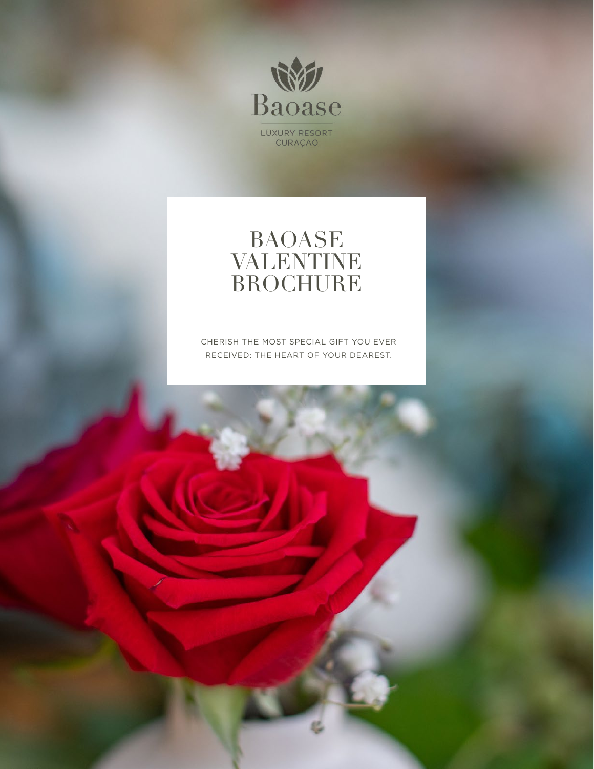

#### BAOASE VALENTINE BROCHURE

CHERISH THE MOST SPECIAL GIFT YOU EVER RECEIVED: THE HEART OF YOUR DEAREST.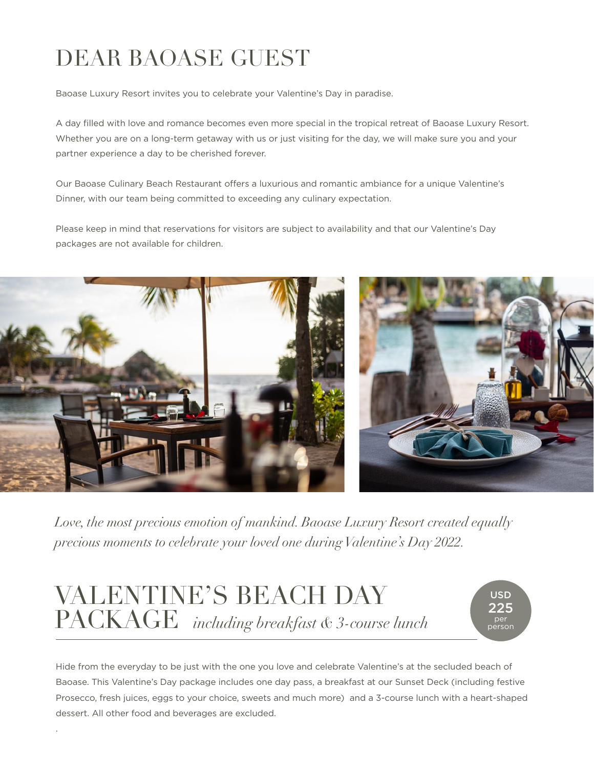## DEAR BAOASE GUEST

Baoase Luxury Resort invites you to celebrate your Valentine's Day in paradise.

A day filled with love and romance becomes even more special in the tropical retreat of Baoase Luxury Resort. Whether you are on a long-term getaway with us or just visiting for the day, we will make sure you and your partner experience a day to be cherished forever.

Our Baoase Culinary Beach Restaurant offers a luxurious and romantic ambiance for a unique Valentine's Dinner, with our team being committed to exceeding any culinary expectation.

Please keep in mind that reservations for visitors are subject to availability and that our Valentine's Day packages are not available for children.



*Love, the most precious emotion of mankind. Baoase Luxury Resort created equally precious moments to celebrate your loved one during Valentine's Day 2022.* 

### VALENTINE'S BEACH DAY PACKAGE *including breakfast & 3-course lunch*

.

USD **つつら** per person

Hide from the everyday to be just with the one you love and celebrate Valentine's at the secluded beach of Baoase. This Valentine's Day package includes one day pass, a breakfast at our Sunset Deck (including festive Prosecco, fresh juices, eggs to your choice, sweets and much more) and a 3-course lunch with a heart-shaped dessert. All other food and beverages are excluded.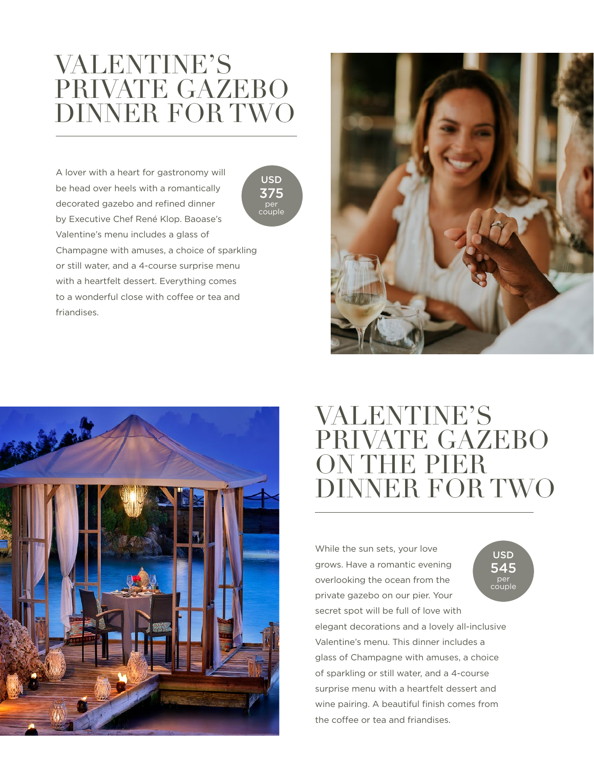#### VALENTINE'S PRIVATE GAZEBO DINNER FOR TWO

A lover with a heart for gastronomy will be head over heels with a romantically decorated gazebo and refined dinner by Executive Chef René Klop. Baoase's Valentine's menu includes a glass of Champagne with amuses, a choice of sparkling or still water, and a 4-course surprise menu with a heartfelt dessert. Everything comes to a wonderful close with coffee or tea and friandises.







#### VALENTINE'S PRIVATE GAZEBO ON THE PIER DINNER FOR TWO

While the sun sets, your love grows. Have a romantic evening overlooking the ocean from the private gazebo on our pier. Your secret spot will be full of love with elegant decorations and a lovely all-inclusive Valentine's menu. This dinner includes a glass of Champagne with amuses, a choice of sparkling or still water, and a 4-course surprise menu with a heartfelt dessert and wine pairing. A beautiful finish comes from the coffee or tea and friandises.